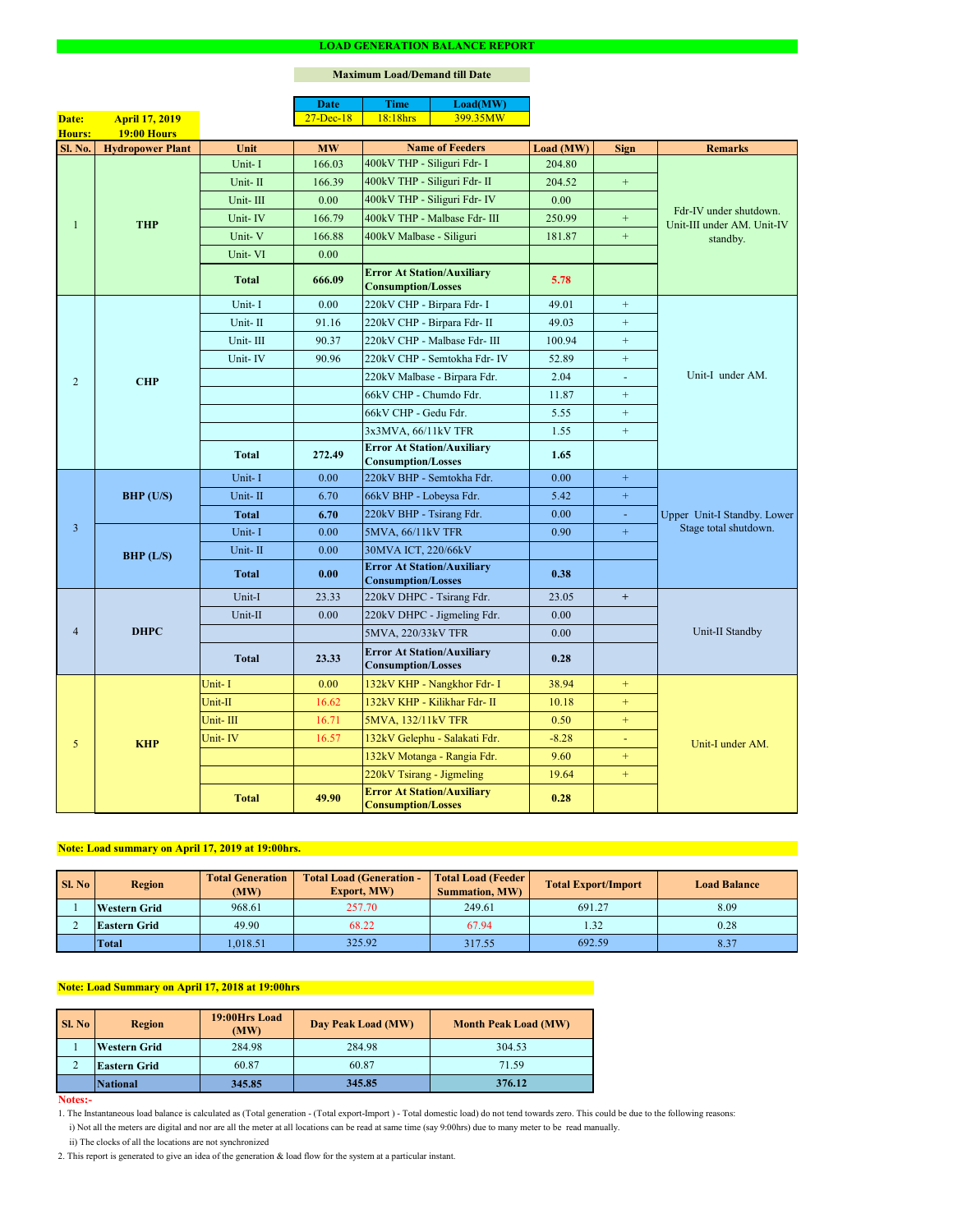#### **Notes:-**

2. This report is generated to give an idea of the generation & load flow for the system at a particular instant.

### **Maximum Load/Demand till Date**

ii) The clocks of all the locations are not synchronized

1. The Instantaneous load balance is calculated as (Total generation - (Total export-Import ) - Total domestic load) do not tend towards zero. This could be due to the following reasons:

| Sl. No | <b>Total Generation</b><br><b>Region</b><br>(MW) |         | <b>Total Load (Generation -</b><br><b>Export, MW)</b> | <b>Total Load (Feeder)</b><br><b>Summation, MW)</b> | <b>Total Export/Import</b> | <b>Load Balance</b> |
|--------|--------------------------------------------------|---------|-------------------------------------------------------|-----------------------------------------------------|----------------------------|---------------------|
|        | <b>Western Grid</b>                              | 968.61  | 257.70                                                | 249.61                                              | 691.27                     | 8.09                |
|        | <b>Eastern Grid</b>                              | 49.90   | 68.22                                                 | 67.94                                               | 1.32                       | 0.28                |
|        | <b>Total</b>                                     | .018.51 | 325.92                                                | 317.55                                              | 692.59                     | 8.37                |

|                |                         |              | <b>Date</b>   | <b>Time</b>                                                    | Load(MW)                      |           |                  |                                                                  |  |
|----------------|-------------------------|--------------|---------------|----------------------------------------------------------------|-------------------------------|-----------|------------------|------------------------------------------------------------------|--|
| Date:          | <b>April 17, 2019</b>   |              | $27 - Dec-18$ | 18:18hrs                                                       | 399.35MW                      |           |                  |                                                                  |  |
| <b>Hours:</b>  | <b>19:00 Hours</b>      |              |               |                                                                |                               |           |                  |                                                                  |  |
| Sl. No.        | <b>Hydropower Plant</b> | Unit         | <b>MW</b>     |                                                                | <b>Name of Feeders</b>        | Load (MW) | <b>Sign</b>      | <b>Remarks</b>                                                   |  |
|                |                         | Unit-I       | 166.03        | 400kV THP - Siliguri Fdr- I                                    |                               | 204.80    |                  |                                                                  |  |
|                |                         | Unit-II      | 166.39        | 400kV THP - Siliguri Fdr- II                                   |                               | 204.52    | $\pm$            |                                                                  |  |
|                |                         | Unit-III     | 0.00          |                                                                | 400kV THP - Siliguri Fdr- IV  | 0.00      |                  | Fdr-IV under shutdown.<br>Unit-III under AM. Unit-IV<br>standby. |  |
| 1              | <b>THP</b>              | Unit-IV      | 166.79        |                                                                | 400kV THP - Malbase Fdr- III  | 250.99    | $\boldsymbol{+}$ |                                                                  |  |
|                |                         | Unit-V       | 166.88        | 400kV Malbase - Siliguri                                       |                               | 181.87    | $+$              |                                                                  |  |
|                |                         | Unit-VI      | 0.00          |                                                                |                               |           |                  |                                                                  |  |
|                |                         | <b>Total</b> | 666.09        | <b>Error At Station/Auxiliary</b><br><b>Consumption/Losses</b> |                               | 5.78      |                  |                                                                  |  |
|                |                         | Unit-I       | 0.00          | 220kV CHP - Birpara Fdr- I                                     |                               | 49.01     | $+$              |                                                                  |  |
|                |                         | Unit-II      | 91.16         | 220kV CHP - Birpara Fdr- II                                    |                               | 49.03     | $+$              |                                                                  |  |
|                |                         | Unit-III     | 90.37         |                                                                | 220kV CHP - Malbase Fdr- III  | 100.94    | $+$              |                                                                  |  |
|                |                         | Unit-IV      | 90.96         |                                                                | 220kV CHP - Semtokha Fdr- IV  | 52.89     | $+$              |                                                                  |  |
| $\overline{2}$ | <b>CHP</b>              |              |               |                                                                | 220kV Malbase - Birpara Fdr.  | 2.04      | $\blacksquare$   | Unit-I under AM.                                                 |  |
|                |                         |              |               | 66kV CHP - Chumdo Fdr.                                         |                               | 11.87     | $+$              |                                                                  |  |
|                |                         |              |               | 66kV CHP - Gedu Fdr.                                           |                               | 5.55      | $+$              |                                                                  |  |
|                |                         |              |               | 3x3MVA, 66/11kV TFR                                            |                               | 1.55      | $\boldsymbol{+}$ |                                                                  |  |
|                |                         | <b>Total</b> | 272.49        | <b>Error At Station/Auxiliary</b><br><b>Consumption/Losses</b> |                               | 1.65      |                  |                                                                  |  |
|                | BHP (U/S)               | Unit-I       | 0.00          | 220kV BHP - Semtokha Fdr.                                      |                               | 0.00      | $+$              | Upper Unit-I Standby. Lower<br>Stage total shutdown.             |  |
|                |                         | Unit-II      | 6.70          | 66kV BHP - Lobeysa Fdr.                                        |                               | 5.42      | $+$              |                                                                  |  |
|                |                         | <b>Total</b> | 6.70          | 220kV BHP - Tsirang Fdr.                                       |                               | 0.00      | $\equiv$         |                                                                  |  |
| $\overline{3}$ |                         | Unit-I       | 0.00          | 5MVA, 66/11kV TFR                                              |                               | 0.90      | $+$              |                                                                  |  |
|                | BHP (L/S)               | Unit-II      | 0.00          | 30MVA ICT, 220/66kV                                            |                               |           |                  |                                                                  |  |
|                |                         | <b>Total</b> | 0.00          | <b>Error At Station/Auxiliary</b><br><b>Consumption/Losses</b> |                               | 0.38      |                  |                                                                  |  |
|                | <b>DHPC</b>             | Unit-I       | 23.33         | 220kV DHPC - Tsirang Fdr.                                      |                               | 23.05     | $+$              |                                                                  |  |
|                |                         | Unit-II      | 0.00          |                                                                | 220kV DHPC - Jigmeling Fdr.   | 0.00      |                  |                                                                  |  |
| $\overline{4}$ |                         |              |               | 5MVA, 220/33kV TFR                                             |                               | 0.00      |                  | Unit-II Standby                                                  |  |
|                |                         | <b>Total</b> | 23.33         | <b>Error At Station/Auxiliary</b><br><b>Consumption/Losses</b> |                               | 0.28      |                  |                                                                  |  |
|                |                         | Unit-I       | 0.00          |                                                                | 132kV KHP - Nangkhor Fdr- I   | 38.94     | $+$              |                                                                  |  |
|                |                         | Unit-II      | 16.62         |                                                                | 132kV KHP - Kilikhar Fdr- II  | 10.18     | $+$              |                                                                  |  |
|                |                         | Unit-III     | 16.71         | 5MVA, 132/11kV TFR                                             |                               | 0.50      | $+$              |                                                                  |  |
| 5 <sub>0</sub> | <b>KHP</b>              | Unit-IV      | 16.57         |                                                                | 132kV Gelephu - Salakati Fdr. | $-8.28$   | $\blacksquare$   | Unit-I under AM.                                                 |  |
|                |                         |              |               |                                                                | 132kV Motanga - Rangia Fdr.   | 9.60      | $+$              |                                                                  |  |
|                |                         |              |               | 220kV Tsirang - Jigmeling                                      |                               | 19.64     | $+$              |                                                                  |  |
|                |                         | <b>Total</b> | 49.90         | <b>Error At Station/Auxiliary</b><br><b>Consumption/Losses</b> |                               | 0.28      |                  |                                                                  |  |

| <b>Sl. No</b> | 19:00Hrs Load<br><b>Region</b><br>(MW) |        | Day Peak Load (MW) | <b>Month Peak Load (MW)</b> |
|---------------|----------------------------------------|--------|--------------------|-----------------------------|
|               | <b>Western Grid</b>                    | 284.98 | 284.98             | 304.53                      |
|               | <b>Eastern Grid</b>                    | 60.87  | 60.87              | 71.59                       |
|               | <b>National</b>                        | 345.85 | 345.85             | 376.12                      |

# **Note: Load summary on April 17, 2019 at 19:00hrs.**

i) Not all the meters are digital and nor are all the meter at all locations can be read at same time (say 9:00hrs) due to many meter to be read manually.

# **Note: Load Summary on April 17, 2018 at 19:00hrs**

#### **LOAD GENERATION BALANCE REPORT**